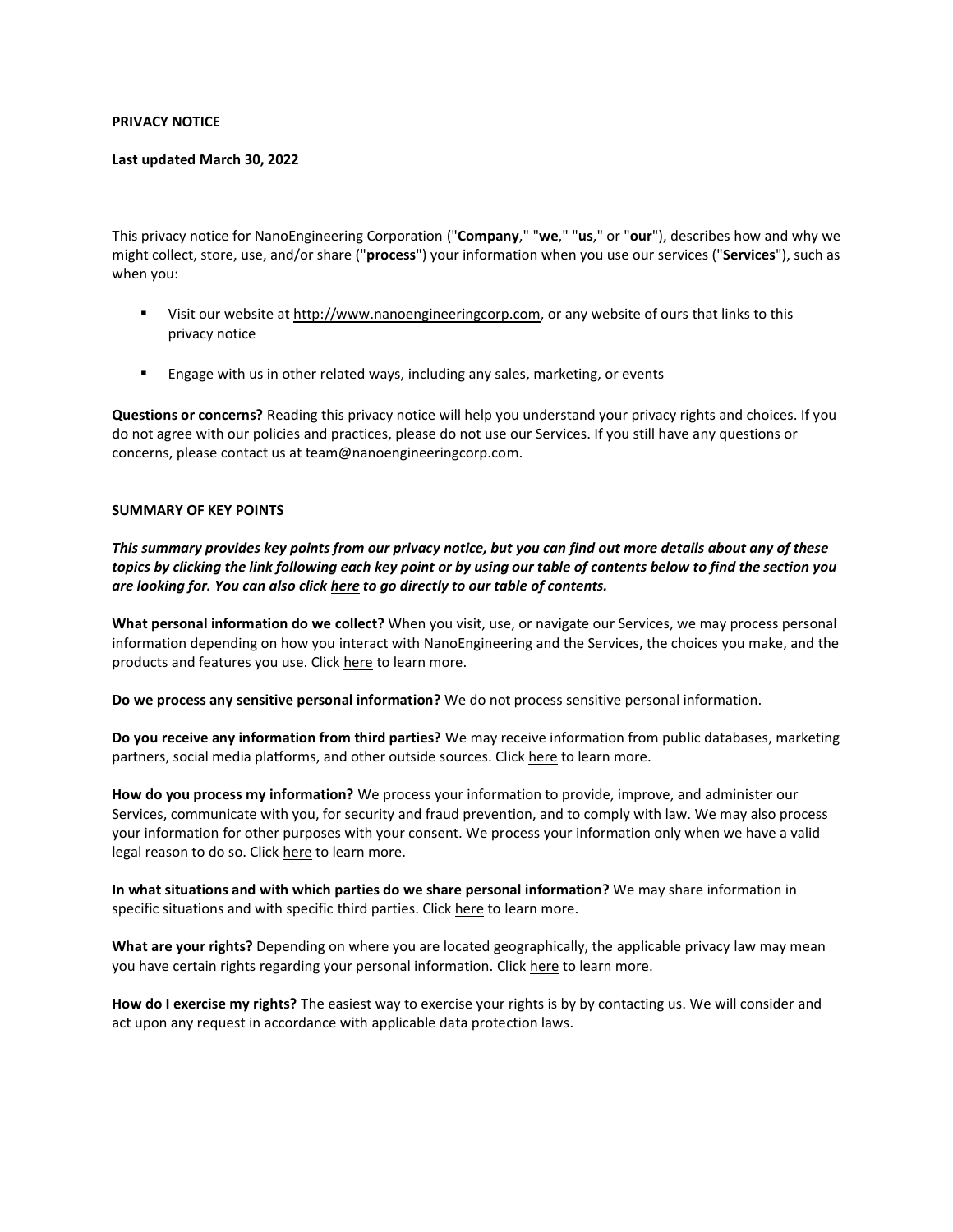### **PRIVACY NOTICE**

### **Last updated March 30, 2022**

This privacy notice for NanoEngineering Corporation ("**Company**," "**we**," "**us**," or "**our**"), describes how and why we might collect, store, use, and/or share ("**process**") your information when you use our services ("**Services**"), such as when you:

- **■** Visit our website at [http://www.nanoengineeringcorp.com,](http://www.nanoengineeringcorp.com/) or any website of ours that links to this privacy notice
- Engage with us in other related ways, including any sales, marketing, or events

**Questions or concerns?** Reading this privacy notice will help you understand your privacy rights and choices. If you do not agree with our policies and practices, please do not use our Services. If you still have any questions or concerns, please contact us at team@nanoengineeringcorp.com.

### **SUMMARY OF KEY POINTS**

*This summary provides key points from our privacy notice, but you can find out more details about any of these topics by clicking the link following each key point or by using our table of contents below to find the section you are looking for. You can also click [here](#page-1-0) to go directly to our table of contents.*

**What personal information do we collect?** When you visit, use, or navigate our Services, we may process personal information depending on how you interact with NanoEngineering and the Services, the choices you make, and the products and features you use. Click [here](#page-1-1) to learn more.

**Do we process any sensitive personal information?** We do not process sensitive personal information.

**Do you receive any information from third parties?** We may receive information from public databases, marketing partners, social media platforms, and other outside sources. Click [here](#page-2-0) to learn more.

**How do you process my information?** We process your information to provide, improve, and administer our Services, communicate with you, for security and fraud prevention, and to comply with law. We may also process your information for other purposes with your consent. We process your information only when we have a valid legal reason to do so. Click [here](#page-1-2) to learn more.

**In what situations and with which parties do we share personal information?** We may share information in specific situations and with specific third parties. Click [here](#page-2-0) to learn more.

**What are your rights?** Depending on where you are located geographically, the applicable privacy law may mean you have certain rights regarding your personal information. Click [here](#page-3-0) to learn more.

**How do I exercise my rights?** The easiest way to exercise your rights is by by contacting us. We will consider and act upon any request in accordance with applicable data protection laws.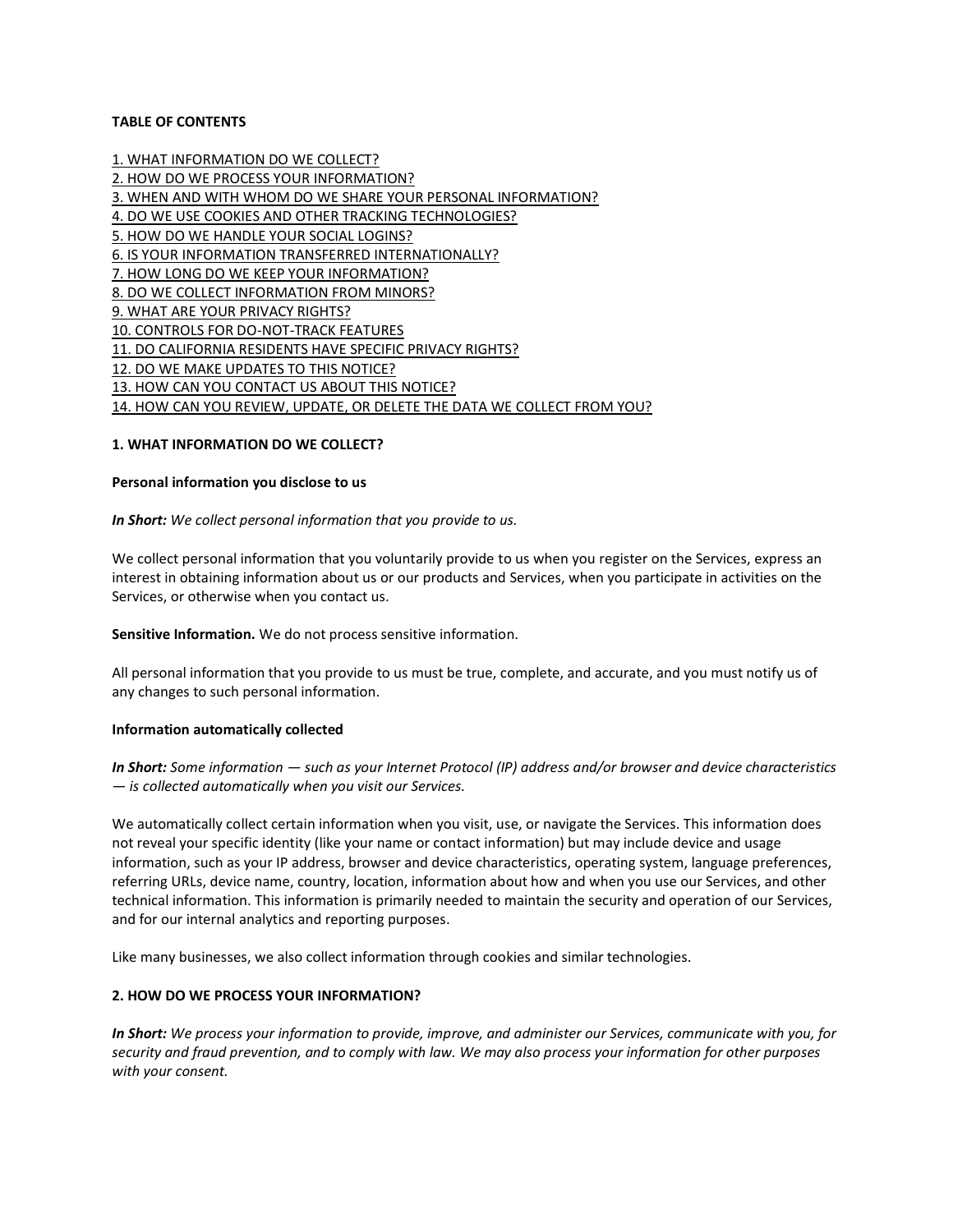## <span id="page-1-0"></span>**TABLE OF CONTENTS**

[1. WHAT INFORMATION DO WE COLLECT?](#page-1-1) [2. HOW DO WE PROCESS YOUR INFORMATION?](#page-1-2) [3. WHEN AND WITH WHOM DO WE SHARE YOUR PERSONAL INFORMATION?](#page-2-0) [4. DO WE USE COOKIES AND OTHER TRACKING TECHNOLOGIES?](#page-2-1) [5. HOW DO WE HANDLE YOUR SOCIAL LOGINS?](#page-2-2) [6. IS YOUR INFORMATION TRANSFERRED INTERNATIONALLY?](#page-2-3) [7. HOW LONG DO WE KEEP YOUR INFORMATION?](#page-3-1) [8. DO WE COLLECT INFORMATION FROM MINORS?](#page-3-2) [9. WHAT ARE YOUR PRIVACY RIGHTS?](#page-3-0) [10. CONTROLS FOR DO-NOT-TRACK FEATURES](#page-4-0) [11. DO CALIFORNIA RESIDENTS HAVE SPECIFIC PRIVACY RIGHTS?](#page-4-1) [12. DO WE MAKE UPDATES TO THIS NOTICE?](#page-4-2) [13. HOW CAN YOU CONTACT US](#page-5-0) ABOUT THIS NOTICE? [14. HOW CAN YOU REVIEW, UPDATE, OR DELETE THE DATA WE COLLECT FROM YOU?](#page-5-1)

### <span id="page-1-1"></span>**1. WHAT INFORMATION DO WE COLLECT?**

#### **Personal information you disclose to us**

*In Short: We collect personal information that you provide to us.*

We collect personal information that you voluntarily provide to us when you register on the Services, express an interest in obtaining information about us or our products and Services, when you participate in activities on the Services, or otherwise when you contact us.

**Sensitive Information.** We do not process sensitive information.

All personal information that you provide to us must be true, complete, and accurate, and you must notify us of any changes to such personal information.

### **Information automatically collected**

*In Short: Some information — such as your Internet Protocol (IP) address and/or browser and device characteristics — is collected automatically when you visit our Services.*

We automatically collect certain information when you visit, use, or navigate the Services. This information does not reveal your specific identity (like your name or contact information) but may include device and usage information, such as your IP address, browser and device characteristics, operating system, language preferences, referring URLs, device name, country, location, information about how and when you use our Services, and other technical information. This information is primarily needed to maintain the security and operation of our Services, and for our internal analytics and reporting purposes.

Like many businesses, we also collect information through cookies and similar technologies.

### <span id="page-1-2"></span>**2. HOW DO WE PROCESS YOUR INFORMATION?**

*In Short: We process your information to provide, improve, and administer our Services, communicate with you, for security and fraud prevention, and to comply with law. We may also process your information for other purposes with your consent.*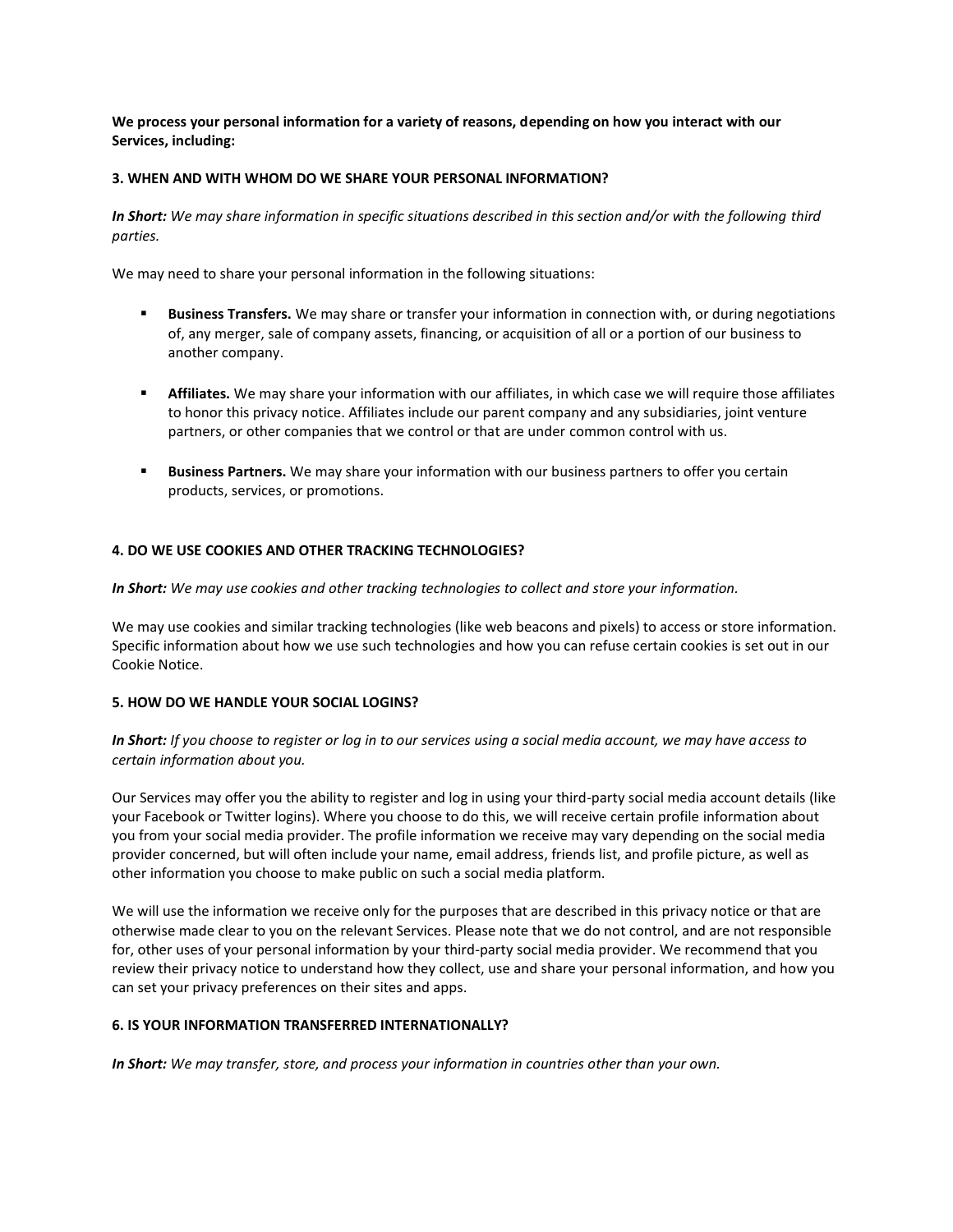**We process your personal information for a variety of reasons, depending on how you interact with our Services, including:**

### <span id="page-2-0"></span>**3. WHEN AND WITH WHOM DO WE SHARE YOUR PERSONAL INFORMATION?**

*In Short: We may share information in specific situations described in this section and/or with the following third parties.*

We may need to share your personal information in the following situations:

- **EXECT:** Business Transfers. We may share or transfer your information in connection with, or during negotiations of, any merger, sale of company assets, financing, or acquisition of all or a portion of our business to another company.
- **EXECT Affiliates.** We may share your information with our affiliates, in which case we will require those affiliates to honor this privacy notice. Affiliates include our parent company and any subsidiaries, joint venture partners, or other companies that we control or that are under common control with us.
- **EXED Business Partners.** We may share your information with our business partners to offer you certain products, services, or promotions.

## <span id="page-2-1"></span>**4. DO WE USE COOKIES AND OTHER TRACKING TECHNOLOGIES?**

*In Short: We may use cookies and other tracking technologies to collect and store your information.*

We may use cookies and similar tracking technologies (like web beacons and pixels) to access or store information. Specific information about how we use such technologies and how you can refuse certain cookies is set out in our Cookie Notice.

### <span id="page-2-2"></span>**5. HOW DO WE HANDLE YOUR SOCIAL LOGINS?**

*In Short: If you choose to register or log in to our services using a social media account, we may have access to certain information about you.*

Our Services may offer you the ability to register and log in using your third-party social media account details (like your Facebook or Twitter logins). Where you choose to do this, we will receive certain profile information about you from your social media provider. The profile information we receive may vary depending on the social media provider concerned, but will often include your name, email address, friends list, and profile picture, as well as other information you choose to make public on such a social media platform.

We will use the information we receive only for the purposes that are described in this privacy notice or that are otherwise made clear to you on the relevant Services. Please note that we do not control, and are not responsible for, other uses of your personal information by your third-party social media provider. We recommend that you review their privacy notice to understand how they collect, use and share your personal information, and how you can set your privacy preferences on their sites and apps.

## <span id="page-2-3"></span>**6. IS YOUR INFORMATION TRANSFERRED INTERNATIONALLY?**

*In Short: We may transfer, store, and process your information in countries other than your own.*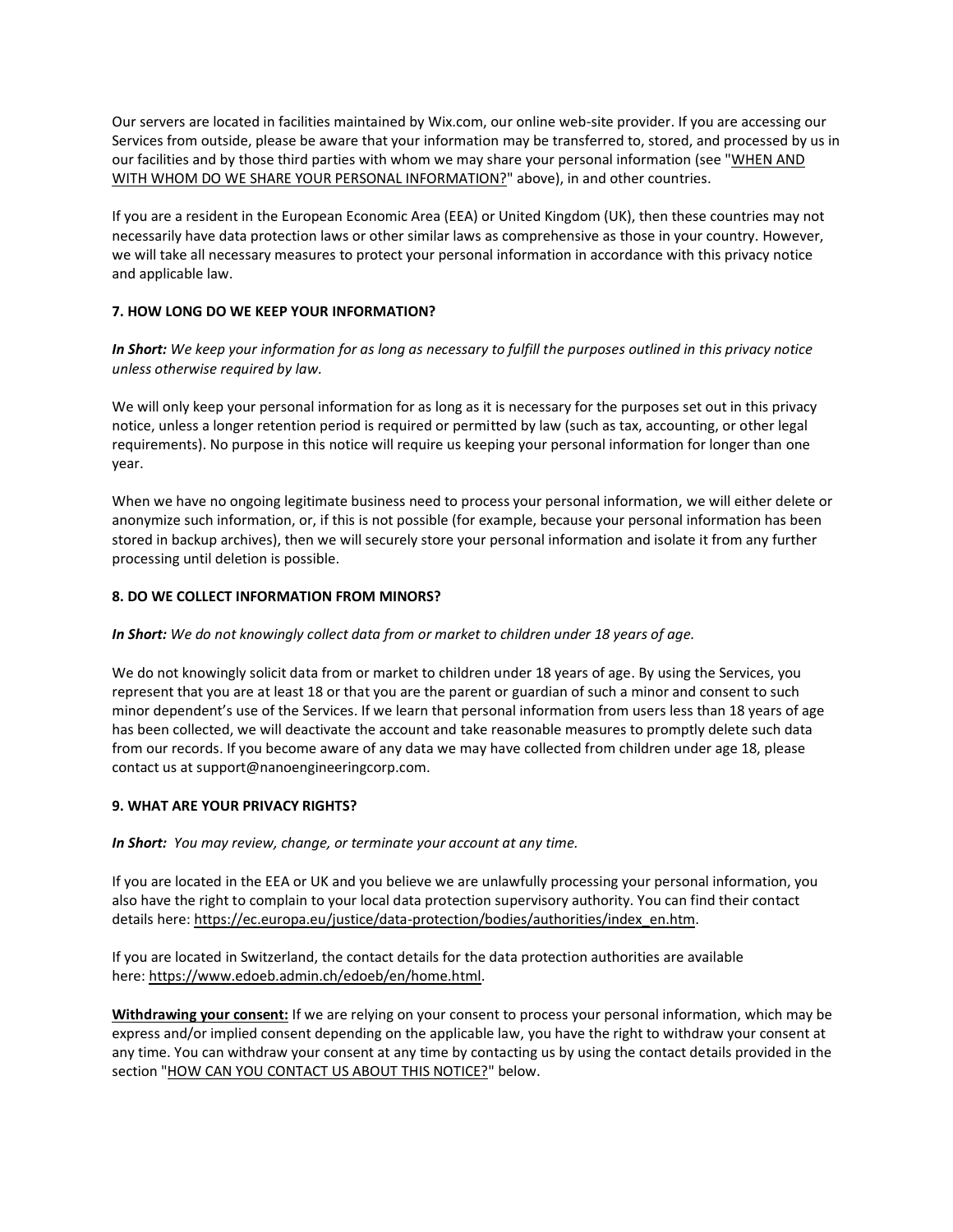Our servers are located in facilities maintained by Wix.com, our online web-site provider. If you are accessing our Services from outside, please be aware that your information may be transferred to, stored, and processed by us in our facilities and by those third parties with whom we may share your personal information (see ["WHEN AND](https://app.termly.io/builder/websites/f0696498-10f6-4944-a0d6-7b3799622bb7/documents/1788949/User%20Information/User%20Location#whoshare)  [WITH WHOM DO WE SHARE YOUR PERSONAL INFORMATION?"](https://app.termly.io/builder/websites/f0696498-10f6-4944-a0d6-7b3799622bb7/documents/1788949/User%20Information/User%20Location#whoshare) above), in and other countries.

If you are a resident in the European Economic Area (EEA) or United Kingdom (UK), then these countries may not necessarily have data protection laws or other similar laws as comprehensive as those in your country. However, we will take all necessary measures to protect your personal information in accordance with this privacy notice and applicable law.

# <span id="page-3-1"></span>**7. HOW LONG DO WE KEEP YOUR INFORMATION?**

*In Short: We keep your information for as long as necessary to fulfill the purposes outlined in this privacy notice unless otherwise required by law.*

We will only keep your personal information for as long as it is necessary for the purposes set out in this privacy notice, unless a longer retention period is required or permitted by law (such as tax, accounting, or other legal requirements). No purpose in this notice will require us keeping your personal information for longer than one year.

When we have no ongoing legitimate business need to process your personal information, we will either delete or anonymize such information, or, if this is not possible (for example, because your personal information has been stored in backup archives), then we will securely store your personal information and isolate it from any further processing until deletion is possible.

## <span id="page-3-2"></span>**8. DO WE COLLECT INFORMATION FROM MINORS?**

## *In Short: We do not knowingly collect data from or market to children under 18 years of age.*

We do not knowingly solicit data from or market to children under 18 years of age. By using the Services, you represent that you are at least 18 or that you are the parent or guardian of such a minor and consent to such minor dependent's use of the Services. If we learn that personal information from users less than 18 years of age has been collected, we will deactivate the account and take reasonable measures to promptly delete such data from our records. If you become aware of any data we may have collected from children under age 18, please contact us at support@nanoengineeringcorp.com.

## <span id="page-3-0"></span>**9. WHAT ARE YOUR PRIVACY RIGHTS?**

*In Short: You may review, change, or terminate your account at any time.*

If you are located in the EEA or UK and you believe we are unlawfully processing your personal information, you also have the right to complain to your local data protection supervisory authority. You can find their contact details here: [https://ec.europa.eu/justice/data-protection/bodies/authorities/index\\_en.htm.](https://ec.europa.eu/justice/data-protection/bodies/authorities/index_en.htm)

If you are located in Switzerland, the contact details for the data protection authorities are available here: [https://www.edoeb.admin.ch/edoeb/en/home.html.](https://www.edoeb.admin.ch/edoeb/en/home.html)

**Withdrawing your consent:** If we are relying on your consent to process your personal information, which may be express and/or implied consent depending on the applicable law, you have the right to withdraw your consent at any time. You can withdraw your consent at any time by contacting us by using the contact details provided in the section ["HOW CAN YOU CONTACT US ABOUT THIS NOTICE?"](#page-5-0) below.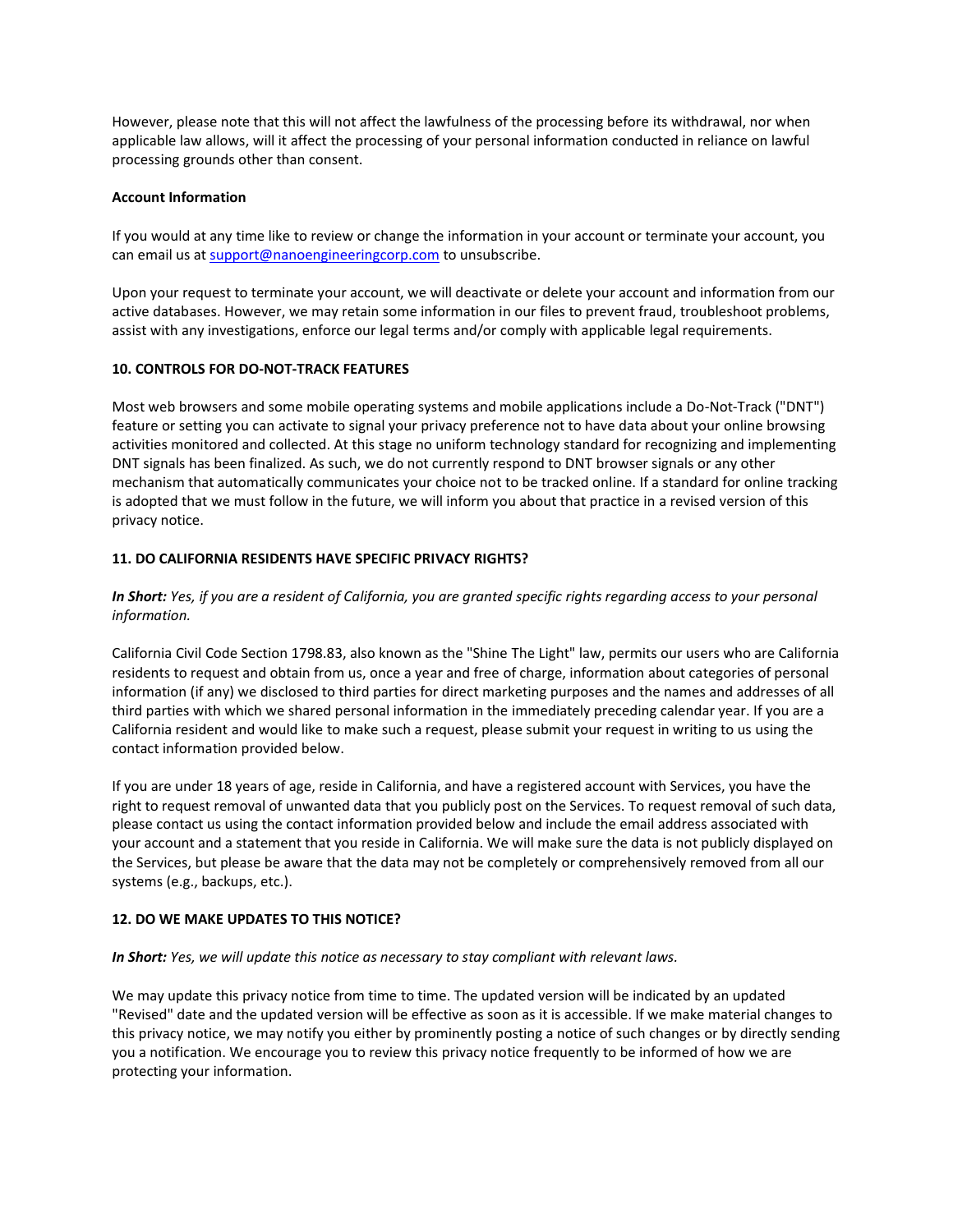However, please note that this will not affect the lawfulness of the processing before its withdrawal, nor when applicable law allows, will it affect the processing of your personal information conducted in reliance on lawful processing grounds other than consent.

### **Account Information**

If you would at any time like to review or change the information in your account or terminate your account, you can email us at [support@nanoengineeringcorp.com](mailto:support@nanoengineeringcorp.com) to unsubscribe.

Upon your request to terminate your account, we will deactivate or delete your account and information from our active databases. However, we may retain some information in our files to prevent fraud, troubleshoot problems, assist with any investigations, enforce our legal terms and/or comply with applicable legal requirements.

## <span id="page-4-0"></span>**10. CONTROLS FOR DO-NOT-TRACK FEATURES**

Most web browsers and some mobile operating systems and mobile applications include a Do-Not-Track ("DNT") feature or setting you can activate to signal your privacy preference not to have data about your online browsing activities monitored and collected. At this stage no uniform technology standard for recognizing and implementing DNT signals has been finalized. As such, we do not currently respond to DNT browser signals or any other mechanism that automatically communicates your choice not to be tracked online. If a standard for online tracking is adopted that we must follow in the future, we will inform you about that practice in a revised version of this privacy notice.

## <span id="page-4-1"></span>**11. DO CALIFORNIA RESIDENTS HAVE SPECIFIC PRIVACY RIGHTS?**

## *In Short: Yes, if you are a resident of California, you are granted specific rights regarding access to your personal information.*

California Civil Code Section 1798.83, also known as the "Shine The Light" law, permits our users who are California residents to request and obtain from us, once a year and free of charge, information about categories of personal information (if any) we disclosed to third parties for direct marketing purposes and the names and addresses of all third parties with which we shared personal information in the immediately preceding calendar year. If you are a California resident and would like to make such a request, please submit your request in writing to us using the contact information provided below.

If you are under 18 years of age, reside in California, and have a registered account with Services, you have the right to request removal of unwanted data that you publicly post on the Services. To request removal of such data, please contact us using the contact information provided below and include the email address associated with your account and a statement that you reside in California. We will make sure the data is not publicly displayed on the Services, but please be aware that the data may not be completely or comprehensively removed from all our systems (e.g., backups, etc.).

### <span id="page-4-2"></span>**12. DO WE MAKE UPDATES TO THIS NOTICE?**

### *In Short: Yes, we will update this notice as necessary to stay compliant with relevant laws.*

We may update this privacy notice from time to time. The updated version will be indicated by an updated "Revised" date and the updated version will be effective as soon as it is accessible. If we make material changes to this privacy notice, we may notify you either by prominently posting a notice of such changes or by directly sending you a notification. We encourage you to review this privacy notice frequently to be informed of how we are protecting your information.